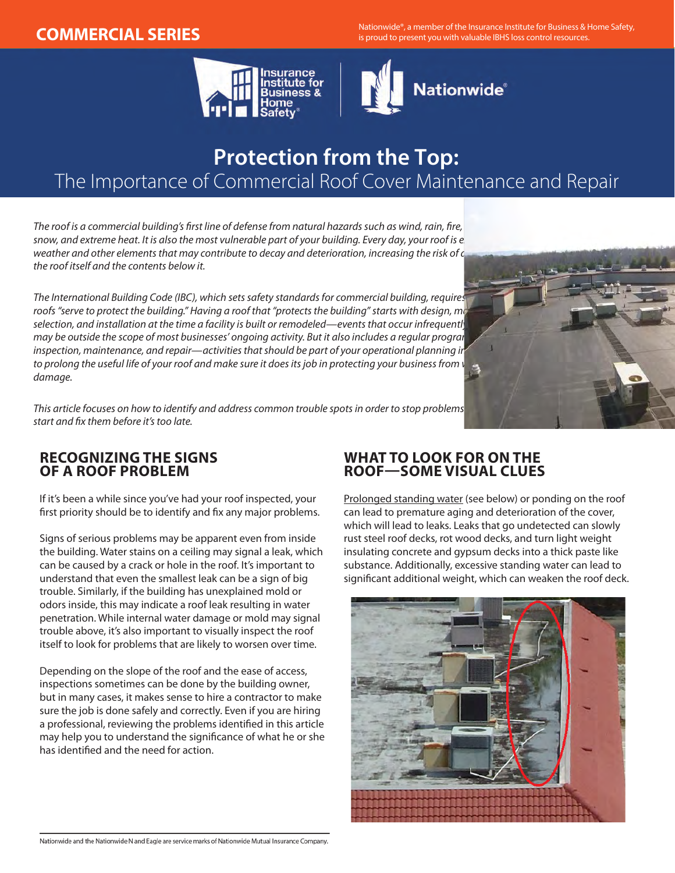**COMMERCIAL SERIES** Nationwide®, a member of the Insurance Institute for Business & Home Safety, is proud to present you with valuable IBHS loss control resources.





# **Protection from the Top:**  The Importance of Commercial Roof Cover Maintenance and Repair

*The roof is a commercial building's first line of defense from natural hazards such as wind, rain, fire, hail, ice, snow, and extreme heat. It is also the most vulnerable part of your building. Every day, your roof is e* weather and other elements that may contribute to decay and deterioration, increasing the risk of c *the roof itself and the contents below it.*

*The International Building Code (IBC), which sets safety standards for commercial building, requires that roofs "serve to protect the building." Having a roof that "protects the building" starts with design, materials selection, and installation at the time a facility is built or remodeled—events that occur infrequently and may be outside the scope of most businesses' ongoing activity. But it also includes a regular program of inspection, maintenance, and repair—activities that should be part of your operational planning in* to prolong the useful life of your roof and make sure it does its job in protecting your business from weather *damage.*

*This article focuses on how to identify and address common trouble spots in order to stop problems before they start and fix them before it's too late.* 

### **RECOGNIZING THE SIGNS OF A ROOF PROBLEM**

If it's been a while since you've had your roof inspected, your first priority should be to identify and fix any major problems.

Signs of serious problems may be apparent even from inside the building. Water stains on a ceiling may signal a leak, which can be caused by a crack or hole in the roof. It's important to understand that even the smallest leak can be a sign of big trouble. Similarly, if the building has unexplained mold or odors inside, this may indicate a roof leak resulting in water penetration. While internal water damage or mold may signal trouble above, it's also important to visually inspect the roof itself to look for problems that are likely to worsen over time.

Depending on the slope of the roof and the ease of access, inspections sometimes can be done by the building owner, but in many cases, it makes sense to hire a contractor to make sure the job is done safely and correctly. Even if you are hiring a professional, reviewing the problems identified in this article may help you to understand the significance of what he or she has identified and the need for action.

## **WHAT TO LOOK FOR ON THE ROOF—SOME VISUAL CLUES**

Prolonged standing water (see below) or ponding on the roof can lead to premature aging and deterioration of the cover, which will lead to leaks. Leaks that go undetected can slowly rust steel roof decks, rot wood decks, and turn light weight insulating concrete and gypsum decks into a thick paste like substance. Additionally, excessive standing water can lead to significant additional weight, which can weaken the roof deck.



Nationwide and the Nationwide N and Eagle are service marks of Nationwide Mutual Insurance Company.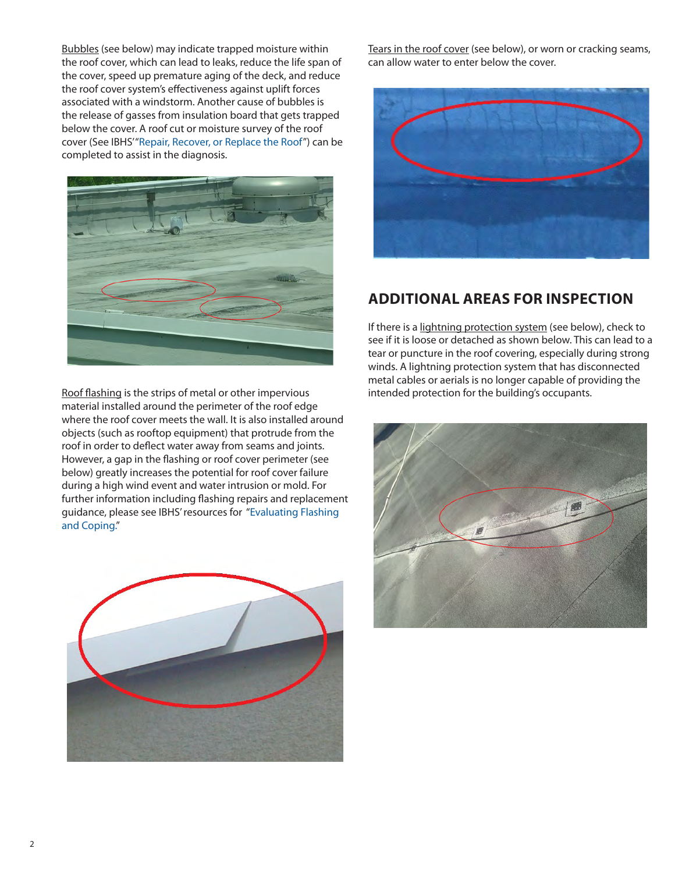Bubbles (see below) may indicate trapped moisture within the roof cover, which can lead to leaks, reduce the life span of the cover, speed up premature aging of the deck, and reduce the roof cover system's effectiveness against uplift forces associated with a windstorm. Another cause of bubbles is the release of gasses from insulation board that gets trapped below the cover. A roof cut or moisture survey of the roof cover (See IBHS' ["Repair, Recover, or Replace the Roof"](http://disastersafety.org/hurricane/repair-recover-or-replace-the-roof/)) can be completed to assist in the diagnosis.



Roof flashing is the strips of metal or other impervious material installed around the perimeter of the roof edge where the roof cover meets the wall. It is also installed around objects (such as rooftop equipment) that protrude from the roof in order to deflect water away from seams and joints. However, a gap in the flashing or roof cover perimeter (see below) greatly increases the potential for roof cover failure during a high wind event and water intrusion or mold. For further information including flashing repairs and replacement guidance, please see IBHS' resources for "[Evaluating Flashing](http://disastersafety.org/hurricane/evaluating-flashing-and-coping/)  [and Coping.](http://disastersafety.org/hurricane/evaluating-flashing-and-coping/)"



Tears in the roof cover (see below), or worn or cracking seams, can allow water to enter below the cover.



## **ADDITIONAL AREAS FOR INSPECTION**

If there is a lightning protection system (see below), check to see if it is loose or detached as shown below. This can lead to a tear or puncture in the roof covering, especially during strong winds. A lightning protection system that has disconnected metal cables or aerials is no longer capable of providing the intended protection for the building's occupants.

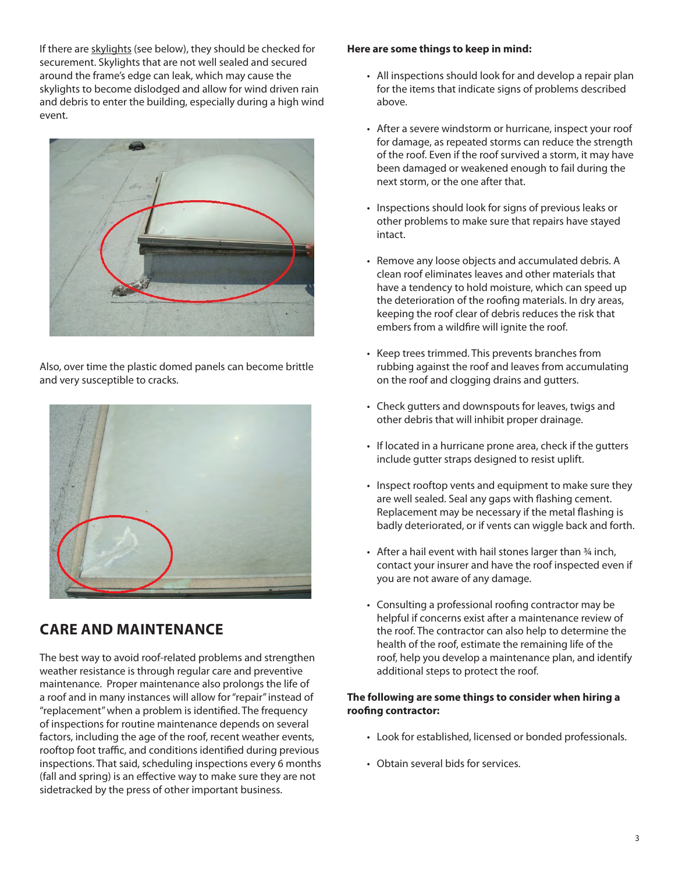If there are skylights (see below), they should be checked for securement. Skylights that are not well sealed and secured around the frame's edge can leak, which may cause the skylights to become dislodged and allow for wind driven rain and debris to enter the building, especially during a high wind event.



Also, over time the plastic domed panels can become brittle and very susceptible to cracks.



## **CARE AND MAINTENANCE**

The best way to avoid roof-related problems and strengthen weather resistance is through regular care and preventive maintenance. Proper maintenance also prolongs the life of a roof and in many instances will allow for "repair" instead of "replacement" when a problem is identified. The frequency of inspections for routine maintenance depends on several factors, including the age of the roof, recent weather events, rooftop foot traffic, and conditions identified during previous inspections. That said, scheduling inspections every 6 months (fall and spring) is an effective way to make sure they are not sidetracked by the press of other important business.

#### **Here are some things to keep in mind:**

- All inspections should look for and develop a repair plan for the items that indicate signs of problems described above.
- • After a severe windstorm or hurricane, inspect your roof for damage, as repeated storms can reduce the strength of the roof. Even if the roof survived a storm, it may have been damaged or weakened enough to fail during the next storm, or the one after that.
- Inspections should look for signs of previous leaks or other problems to make sure that repairs have stayed intact.
- Remove any loose objects and accumulated debris. A clean roof eliminates leaves and other materials that have a tendency to hold moisture, which can speed up the deterioration of the roofing materials. In dry areas, keeping the roof clear of debris reduces the risk that embers from a wildfire will ignite the roof.
- Keep trees trimmed. This prevents branches from rubbing against the roof and leaves from accumulating on the roof and clogging drains and gutters.
- • Check gutters and downspouts for leaves, twigs and other debris that will inhibit proper drainage.
- If located in a hurricane prone area, check if the gutters include gutter straps designed to resist uplift.
- Inspect rooftop vents and equipment to make sure they are well sealed. Seal any gaps with flashing cement. Replacement may be necessary if the metal flashing is badly deteriorated, or if vents can wiggle back and forth.
- After a hail event with hail stones larger than 34 inch, contact your insurer and have the roof inspected even if you are not aware of any damage.
- Consulting a professional roofing contractor may be helpful if concerns exist after a maintenance review of the roof. The contractor can also help to determine the health of the roof, estimate the remaining life of the roof, help you develop a maintenance plan, and identify additional steps to protect the roof.

### **The following are some things to consider when hiring a roofing contractor:**

- • Look for established, licensed or bonded professionals.
- Obtain several bids for services.